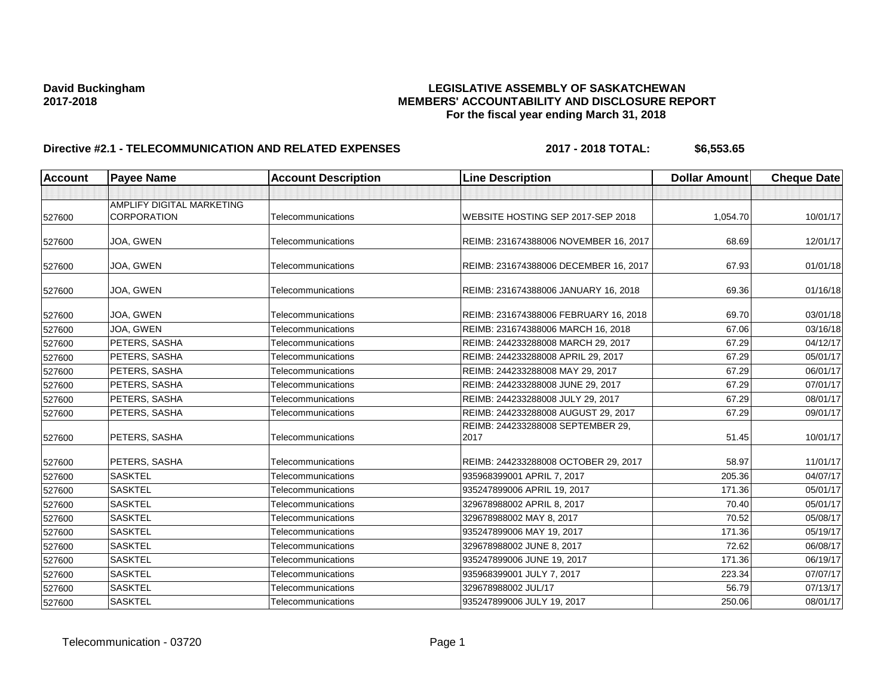# **David Buckingham LEGISLATIVE ASSEMBLY OF SASKATCHEWAN 2017-2018 MEMBERS' ACCOUNTABILITY AND DISCLOSURE REPORT For the fiscal year ending March 31, 2018**

# **Directive #2.1 - TELECOMMUNICATION AND RELATED EXPENSES** 2017 - 2018 TOTAL: \$6,553.65

| <b>Account</b> | <b>Payee Name</b>                               | <b>Account Description</b> | <b>Line Description</b>                   | <b>Dollar Amount</b> | Cheque Date |
|----------------|-------------------------------------------------|----------------------------|-------------------------------------------|----------------------|-------------|
|                |                                                 |                            |                                           |                      |             |
| 527600         | AMPLIFY DIGITAL MARKETING<br><b>CORPORATION</b> | Telecommunications         | WEBSITE HOSTING SEP 2017-SEP 2018         | 1,054.70             | 10/01/17    |
| 527600         | JOA, GWEN                                       | Telecommunications         | REIMB: 231674388006 NOVEMBER 16, 2017     | 68.69                | 12/01/17    |
| 527600         | JOA, GWEN                                       | Telecommunications         | REIMB: 231674388006 DECEMBER 16, 2017     | 67.93                | 01/01/18    |
| 527600         | JOA, GWEN                                       | Telecommunications         | REIMB: 231674388006 JANUARY 16, 2018      | 69.36                | 01/16/18    |
| 527600         | JOA, GWEN                                       | Telecommunications         | REIMB: 231674388006 FEBRUARY 16, 2018     | 69.70                | 03/01/18    |
| 527600         | JOA, GWEN                                       | Telecommunications         | REIMB: 231674388006 MARCH 16, 2018        | 67.06                | 03/16/18    |
| 527600         | PETERS, SASHA                                   | Telecommunications         | REIMB: 244233288008 MARCH 29, 2017        | 67.29                | 04/12/17    |
| 527600         | PETERS, SASHA                                   | Telecommunications         | REIMB: 244233288008 APRIL 29, 2017        | 67.29                | 05/01/17    |
| 527600         | PETERS, SASHA                                   | Telecommunications         | REIMB: 244233288008 MAY 29, 2017          | 67.29                | 06/01/17    |
| 527600         | PETERS, SASHA                                   | Telecommunications         | REIMB: 244233288008 JUNE 29, 2017         | 67.29                | 07/01/17    |
| 527600         | PETERS, SASHA                                   | Telecommunications         | REIMB: 244233288008 JULY 29, 2017         | 67.29                | 08/01/17    |
| 527600         | PETERS, SASHA                                   | Telecommunications         | REIMB: 244233288008 AUGUST 29, 2017       | 67.29                | 09/01/17    |
| 527600         | PETERS, SASHA                                   | Telecommunications         | REIMB: 244233288008 SEPTEMBER 29,<br>2017 | 51.45                | 10/01/17    |
| 527600         | PETERS, SASHA                                   | Telecommunications         | REIMB: 244233288008 OCTOBER 29, 2017      | 58.97                | 11/01/17    |
| 527600         | <b>SASKTEL</b>                                  | Telecommunications         | 935968399001 APRIL 7, 2017                | 205.36               | 04/07/17    |
| 527600         | <b>SASKTEL</b>                                  | Telecommunications         | 935247899006 APRIL 19, 2017               | 171.36               | 05/01/17    |
| 527600         | <b>SASKTEL</b>                                  | Telecommunications         | 329678988002 APRIL 8, 2017                | 70.40                | 05/01/17    |
| 527600         | <b>SASKTEL</b>                                  | Telecommunications         | 329678988002 MAY 8, 2017                  | 70.52                | 05/08/17    |
| 527600         | <b>SASKTEL</b>                                  | Telecommunications         | 935247899006 MAY 19, 2017                 | 171.36               | 05/19/17    |
| 527600         | <b>SASKTEL</b>                                  | Telecommunications         | 329678988002 JUNE 8, 2017                 | 72.62                | 06/08/17    |
| 527600         | <b>SASKTEL</b>                                  | Telecommunications         | 935247899006 JUNE 19, 2017                | 171.36               | 06/19/17    |
| 527600         | <b>SASKTEL</b>                                  | Telecommunications         | 935968399001 JULY 7, 2017                 | 223.34               | 07/07/17    |
| 527600         | <b>SASKTEL</b>                                  | Telecommunications         | 329678988002 JUL/17                       | 56.79                | 07/13/17    |
| 527600         | <b>SASKTEL</b>                                  | Telecommunications         | 935247899006 JULY 19, 2017                | 250.06               | 08/01/17    |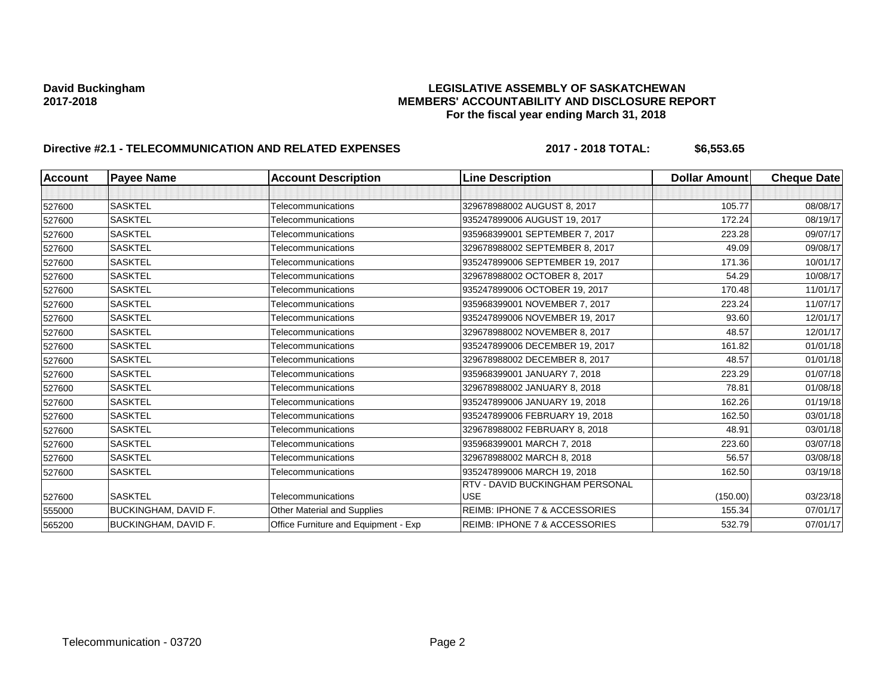## **David Buckingham LEGISLATIVE ASSEMBLY OF SASKATCHEWAN 2017-2018 MEMBERS' ACCOUNTABILITY AND DISCLOSURE REPORT For the fiscal year ending March 31, 2018**

# **Directive #2.1 - TELECOMMUNICATION AND RELATED EXPENSES** 2017 - 2018 TOTAL: \$6,553.65

| <b>Account</b> | <b>Payee Name</b>    | <b>Account Description</b>           | <b>Line Description</b>                  | <b>Dollar Amount</b> | <b>Cheque Date</b> |
|----------------|----------------------|--------------------------------------|------------------------------------------|----------------------|--------------------|
|                |                      |                                      |                                          |                      |                    |
| 527600         | <b>SASKTEL</b>       | Telecommunications                   | 329678988002 AUGUST 8, 2017              | 105.77               | 08/08/17           |
| 527600         | <b>SASKTEL</b>       | Telecommunications                   | 935247899006 AUGUST 19, 2017             | 172.24               | 08/19/17           |
| 527600         | <b>SASKTEL</b>       | Telecommunications                   | 935968399001 SEPTEMBER 7, 2017           | 223.28               | 09/07/17           |
| 527600         | <b>SASKTEL</b>       | Telecommunications                   | 329678988002 SEPTEMBER 8, 2017           | 49.09                | 09/08/17           |
| 527600         | <b>SASKTEL</b>       | Telecommunications                   | 935247899006 SEPTEMBER 19, 2017          | 171.36               | 10/01/17           |
| 527600         | <b>SASKTEL</b>       | Telecommunications                   | 329678988002 OCTOBER 8, 2017             | 54.29                | 10/08/17           |
| 527600         | <b>SASKTEL</b>       | Telecommunications                   | 935247899006 OCTOBER 19, 2017            | 170.48               | 11/01/17           |
| 527600         | <b>SASKTEL</b>       | Telecommunications                   | 935968399001 NOVEMBER 7, 2017            | 223.24               | 11/07/17           |
| 527600         | <b>SASKTEL</b>       | Telecommunications                   | 935247899006 NOVEMBER 19, 2017           | 93.60                | 12/01/17           |
| 527600         | <b>SASKTEL</b>       | Telecommunications                   | 329678988002 NOVEMBER 8, 2017            | 48.57                | 12/01/17           |
| 527600         | <b>SASKTEL</b>       | Telecommunications                   | 935247899006 DECEMBER 19, 2017           | 161.82               | 01/01/18           |
| 527600         | <b>SASKTEL</b>       | Telecommunications                   | 329678988002 DECEMBER 8, 2017            | 48.57                | 01/01/18           |
| 527600         | <b>SASKTEL</b>       | Telecommunications                   | 935968399001 JANUARY 7, 2018             | 223.29               | 01/07/18           |
| 527600         | <b>SASKTEL</b>       | Telecommunications                   | 329678988002 JANUARY 8, 2018             | 78.81                | 01/08/18           |
| 527600         | <b>SASKTEL</b>       | Telecommunications                   | 935247899006 JANUARY 19, 2018            | 162.26               | 01/19/18           |
| 527600         | <b>SASKTEL</b>       | Telecommunications                   | 935247899006 FEBRUARY 19, 2018           | 162.50               | 03/01/18           |
| 527600         | <b>SASKTEL</b>       | Telecommunications                   | 329678988002 FEBRUARY 8, 2018            | 48.91                | 03/01/18           |
| 527600         | <b>SASKTEL</b>       | Telecommunications                   | 935968399001 MARCH 7, 2018               | 223.60               | 03/07/18           |
| 527600         | <b>SASKTEL</b>       | Telecommunications                   | 329678988002 MARCH 8, 2018               | 56.57                | 03/08/18           |
| 527600         | <b>SASKTEL</b>       | Telecommunications                   | 935247899006 MARCH 19, 2018              | 162.50               | 03/19/18           |
|                |                      |                                      | RTV - DAVID BUCKINGHAM PERSONAL          |                      |                    |
| 527600         | <b>SASKTEL</b>       | Telecommunications                   | <b>USE</b>                               | (150.00)             | 03/23/18           |
| 555000         | BUCKINGHAM, DAVID F. | Other Material and Supplies          | <b>REIMB: IPHONE 7 &amp; ACCESSORIES</b> | 155.34               | 07/01/17           |
| 565200         | BUCKINGHAM, DAVID F. | Office Furniture and Equipment - Exp | <b>REIMB: IPHONE 7 &amp; ACCESSORIES</b> | 532.79               | 07/01/17           |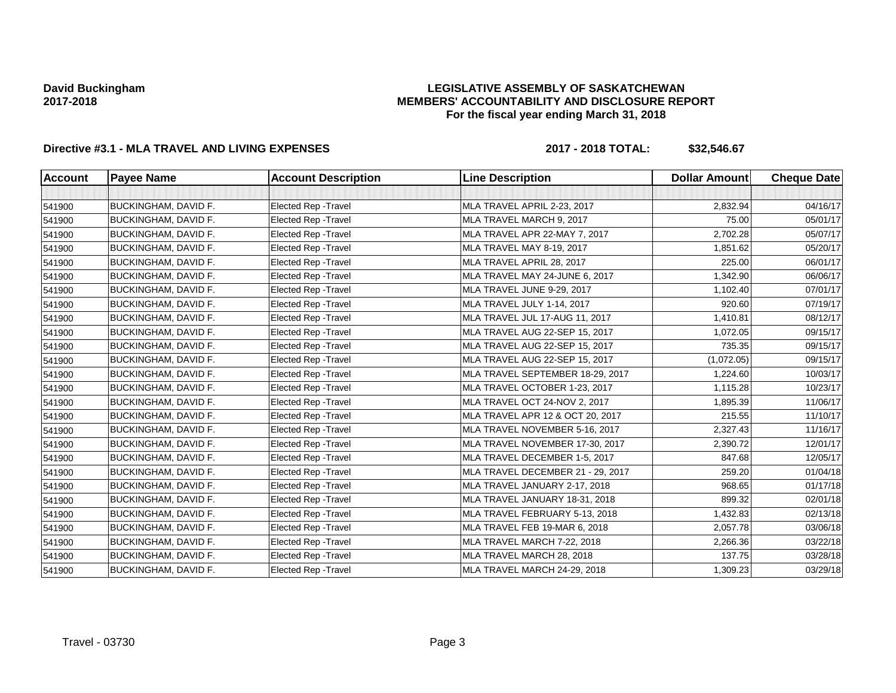## **LEGISLATIVE ASSEMBLY OF SASKATCHEWAN MEMBERS' ACCOUNTABILITY AND DISCLOSURE REPORT For the fiscal year ending March 31, 2018**

# **Directive #3.1 - MLA TRAVEL AND LIVING EXPENSES 2017 - 2018 TOTAL: \$32,546.67**

| <b>Account</b> | <b>Payee Name</b>           | <b>Account Description</b>  | <b>Line Description</b>           | <b>Dollar Amount</b> | <b>Cheque Date</b> |
|----------------|-----------------------------|-----------------------------|-----------------------------------|----------------------|--------------------|
|                |                             |                             |                                   |                      |                    |
| 541900         | BUCKINGHAM, DAVID F.        | Elected Rep - Travel        | MLA TRAVEL APRIL 2-23, 2017       | 2,832.94             | 04/16/17           |
| 541900         | BUCKINGHAM, DAVID F.        | Elected Rep - Travel        | MLA TRAVEL MARCH 9, 2017          | 75.00                | 05/01/17           |
| 541900         | <b>BUCKINGHAM, DAVID F.</b> | Elected Rep - Travel        | MLA TRAVEL APR 22-MAY 7, 2017     | 2,702.28             | 05/07/17           |
| 541900         | BUCKINGHAM, DAVID F.        | Elected Rep - Travel        | MLA TRAVEL MAY 8-19, 2017         | 1,851.62             | 05/20/17           |
| 541900         | <b>BUCKINGHAM, DAVID F.</b> | Elected Rep - Travel        | MLA TRAVEL APRIL 28, 2017         | 225.00               | 06/01/17           |
| 541900         | <b>BUCKINGHAM, DAVID F.</b> | Elected Rep - Travel        | MLA TRAVEL MAY 24-JUNE 6, 2017    | 1,342.90             | 06/06/17           |
| 541900         | BUCKINGHAM, DAVID F.        | Elected Rep - Travel        | MLA TRAVEL JUNE 9-29, 2017        | 1,102.40             | 07/01/17           |
| 541900         | BUCKINGHAM, DAVID F.        | <b>Elected Rep - Travel</b> | MLA TRAVEL JULY 1-14, 2017        | 920.60               | 07/19/17           |
| 541900         | <b>BUCKINGHAM, DAVID F.</b> | Elected Rep - Travel        | MLA TRAVEL JUL 17-AUG 11, 2017    | 1,410.81             | 08/12/17           |
| 541900         | BUCKINGHAM, DAVID F.        | Elected Rep - Travel        | MLA TRAVEL AUG 22-SEP 15, 2017    | 1,072.05             | 09/15/17           |
| 541900         | BUCKINGHAM, DAVID F.        | Elected Rep - Travel        | MLA TRAVEL AUG 22-SEP 15, 2017    | 735.35               | 09/15/17           |
| 541900         | BUCKINGHAM, DAVID F.        | Elected Rep - Travel        | MLA TRAVEL AUG 22-SEP 15, 2017    | (1,072.05)           | 09/15/17           |
| 541900         | <b>BUCKINGHAM, DAVID F.</b> | Elected Rep - Travel        | MLA TRAVEL SEPTEMBER 18-29, 2017  | 1,224.60             | 10/03/17           |
| 541900         | BUCKINGHAM, DAVID F.        | Elected Rep - Travel        | MLA TRAVEL OCTOBER 1-23, 2017     | 1,115.28             | 10/23/17           |
| 541900         | <b>BUCKINGHAM, DAVID F.</b> | Elected Rep - Travel        | MLA TRAVEL OCT 24-NOV 2, 2017     | 1,895.39             | 11/06/17           |
| 541900         | BUCKINGHAM, DAVID F.        | Elected Rep - Travel        | MLA TRAVEL APR 12 & OCT 20, 2017  | 215.55               | 11/10/17           |
| 541900         | <b>BUCKINGHAM, DAVID F.</b> | Elected Rep - Travel        | MLA TRAVEL NOVEMBER 5-16, 2017    | 2,327.43             | 11/16/17           |
| 541900         | <b>BUCKINGHAM, DAVID F.</b> | Elected Rep - Travel        | MLA TRAVEL NOVEMBER 17-30, 2017   | 2,390.72             | 12/01/17           |
| 541900         | BUCKINGHAM, DAVID F.        | Elected Rep - Travel        | MLA TRAVEL DECEMBER 1-5, 2017     | 847.68               | 12/05/17           |
| 541900         | <b>BUCKINGHAM, DAVID F.</b> | Elected Rep - Travel        | MLA TRAVEL DECEMBER 21 - 29, 2017 | 259.20               | 01/04/18           |
| 541900         | BUCKINGHAM, DAVID F.        | Elected Rep - Travel        | MLA TRAVEL JANUARY 2-17, 2018     | 968.65               | 01/17/18           |
| 541900         | <b>BUCKINGHAM, DAVID F.</b> | Elected Rep - Travel        | MLA TRAVEL JANUARY 18-31, 2018    | 899.32               | 02/01/18           |
| 541900         | BUCKINGHAM, DAVID F.        | Elected Rep - Travel        | MLA TRAVEL FEBRUARY 5-13, 2018    | 1,432.83             | 02/13/18           |
| 541900         | BUCKINGHAM, DAVID F.        | Elected Rep - Travel        | MLA TRAVEL FEB 19-MAR 6, 2018     | 2,057.78             | 03/06/18           |
| 541900         | BUCKINGHAM, DAVID F.        | Elected Rep - Travel        | MLA TRAVEL MARCH 7-22, 2018       | 2,266.36             | 03/22/18           |
| 541900         | <b>BUCKINGHAM, DAVID F.</b> | Elected Rep - Travel        | MLA TRAVEL MARCH 28, 2018         | 137.75               | 03/28/18           |
| 541900         | BUCKINGHAM, DAVID F.        | Elected Rep - Travel        | MLA TRAVEL MARCH 24-29, 2018      | 1,309.23             | 03/29/18           |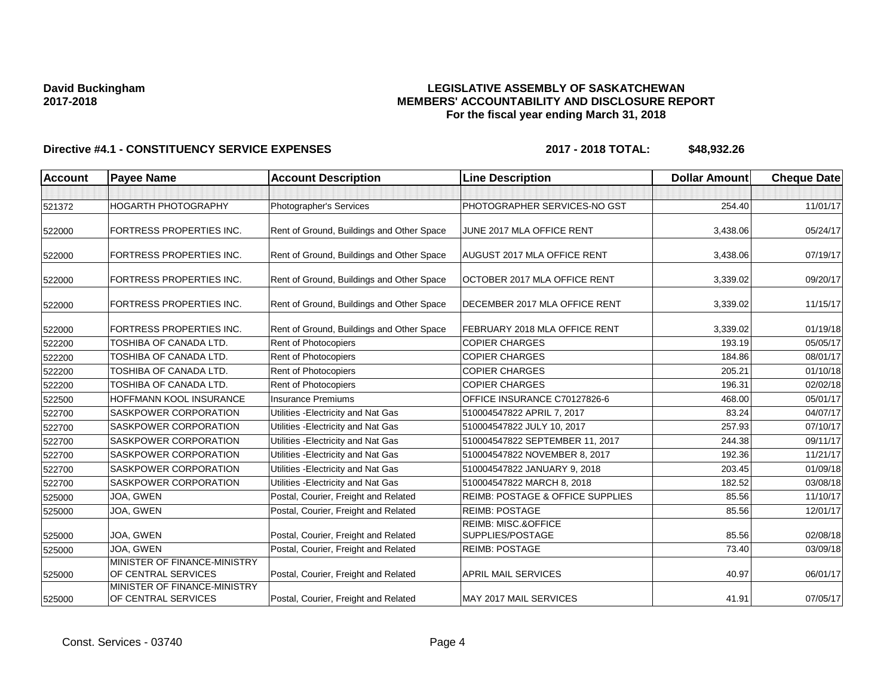## **LEGISLATIVE ASSEMBLY OF SASKATCHEWAN MEMBERS' ACCOUNTABILITY AND DISCLOSURE REPORT For the fiscal year ending March 31, 2018**

| <b>Account</b> | <b>Payee Name</b>                                   | <b>Account Description</b>                | <b>Line Description</b>                            | <b>Dollar Amount</b> | <b>Cheque Date</b> |
|----------------|-----------------------------------------------------|-------------------------------------------|----------------------------------------------------|----------------------|--------------------|
|                |                                                     |                                           |                                                    |                      |                    |
| 521372         | HOGARTH PHOTOGRAPHY                                 | Photographer's Services                   | PHOTOGRAPHER SERVICES-NO GST                       | 254.40               | 11/01/17           |
| 522000         | FORTRESS PROPERTIES INC.                            | Rent of Ground, Buildings and Other Space | JUNE 2017 MLA OFFICE RENT                          | 3,438.06             | 05/24/17           |
| 522000         | FORTRESS PROPERTIES INC.                            | Rent of Ground, Buildings and Other Space | <b>AUGUST 2017 MLA OFFICE RENT</b>                 | 3,438.06             | 07/19/17           |
| 522000         | FORTRESS PROPERTIES INC.                            | Rent of Ground, Buildings and Other Space | OCTOBER 2017 MLA OFFICE RENT                       | 3,339.02             | 09/20/17           |
| 522000         | FORTRESS PROPERTIES INC.                            | Rent of Ground, Buildings and Other Space | <b>DECEMBER 2017 MLA OFFICE RENT</b>               | 3,339.02             | 11/15/17           |
| 522000         | FORTRESS PROPERTIES INC.                            | Rent of Ground, Buildings and Other Space | FEBRUARY 2018 MLA OFFICE RENT                      | 3,339.02             | 01/19/18           |
| 522200         | TOSHIBA OF CANADA LTD.                              | Rent of Photocopiers                      | <b>COPIER CHARGES</b>                              | 193.19               | 05/05/17           |
| 522200         | TOSHIBA OF CANADA LTD.                              | Rent of Photocopiers                      | <b>COPIER CHARGES</b>                              | 184.86               | 08/01/17           |
| 522200         | TOSHIBA OF CANADA LTD.                              | Rent of Photocopiers                      | <b>COPIER CHARGES</b>                              | 205.21               | 01/10/18           |
| 522200         | TOSHIBA OF CANADA LTD.                              | Rent of Photocopiers                      | <b>COPIER CHARGES</b>                              | 196.31               | 02/02/18           |
| 522500         | HOFFMANN KOOL INSURANCE                             | <b>Insurance Premiums</b>                 | OFFICE INSURANCE C70127826-6                       | 468.00               | 05/01/17           |
| 522700         | SASKPOWER CORPORATION                               | Utilities - Electricity and Nat Gas       | 510004547822 APRIL 7, 2017                         | 83.24                | 04/07/17           |
| 522700         | SASKPOWER CORPORATION                               | Utilities - Electricity and Nat Gas       | 510004547822 JULY 10, 2017                         | 257.93               | 07/10/17           |
| 522700         | SASKPOWER CORPORATION                               | Utilities - Electricity and Nat Gas       | 510004547822 SEPTEMBER 11, 2017                    | 244.38               | 09/11/17           |
| 522700         | SASKPOWER CORPORATION                               | Utilities - Electricity and Nat Gas       | 510004547822 NOVEMBER 8, 2017                      | 192.36               | 11/21/17           |
| 522700         | SASKPOWER CORPORATION                               | Utilities - Electricity and Nat Gas       | 510004547822 JANUARY 9, 2018                       | 203.45               | 01/09/18           |
| 522700         | SASKPOWER CORPORATION                               | Utilities - Electricity and Nat Gas       | 510004547822 MARCH 8, 2018                         | 182.52               | 03/08/18           |
| 525000         | JOA, GWEN                                           | Postal, Courier, Freight and Related      | <b>REIMB: POSTAGE &amp; OFFICE SUPPLIES</b>        | 85.56                | 11/10/17           |
| 525000         | JOA, GWEN                                           | Postal, Courier, Freight and Related      | <b>REIMB: POSTAGE</b>                              | 85.56                | 12/01/17           |
| 525000         | JOA, GWEN                                           | Postal, Courier, Freight and Related      | <b>REIMB: MISC.&amp;OFFICE</b><br>SUPPLIES/POSTAGE | 85.56                | 02/08/18           |
| 525000         | JOA, GWEN                                           | Postal, Courier, Freight and Related      | <b>REIMB: POSTAGE</b>                              | 73.40                | 03/09/18           |
| 525000         | MINISTER OF FINANCE-MINISTRY<br>OF CENTRAL SERVICES | Postal, Courier, Freight and Related      | <b>APRIL MAIL SERVICES</b>                         | 40.97                | 06/01/17           |
| 525000         | MINISTER OF FINANCE-MINISTRY<br>OF CENTRAL SERVICES | Postal, Courier, Freight and Related      | MAY 2017 MAIL SERVICES                             | 41.91                | 07/05/17           |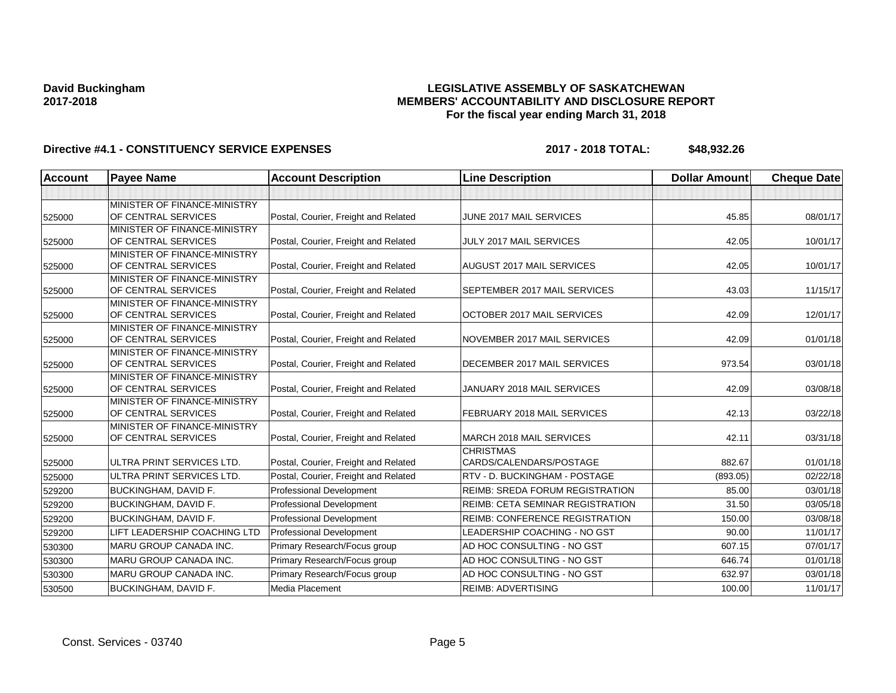## **LEGISLATIVE ASSEMBLY OF SASKATCHEWAN MEMBERS' ACCOUNTABILITY AND DISCLOSURE REPORT For the fiscal year ending March 31, 2018**

| <b>Account</b> | <b>Payee Name</b>                                   | <b>Account Description</b>           | <b>Line Description</b>                | <b>Dollar Amount</b> | <b>Cheque Date</b> |
|----------------|-----------------------------------------------------|--------------------------------------|----------------------------------------|----------------------|--------------------|
|                |                                                     |                                      |                                        |                      |                    |
|                | MINISTER OF FINANCE-MINISTRY                        |                                      |                                        |                      |                    |
| 525000         | OF CENTRAL SERVICES                                 | Postal, Courier, Freight and Related | JUNE 2017 MAIL SERVICES                | 45.85                | 08/01/17           |
|                | MINISTER OF FINANCE-MINISTRY                        |                                      |                                        |                      |                    |
| 525000         | OF CENTRAL SERVICES                                 | Postal, Courier, Freight and Related | JULY 2017 MAIL SERVICES                | 42.05                | 10/01/17           |
|                | MINISTER OF FINANCE-MINISTRY                        |                                      |                                        |                      |                    |
| 525000         | OF CENTRAL SERVICES                                 | Postal, Courier, Freight and Related | AUGUST 2017 MAIL SERVICES              | 42.05                | 10/01/17           |
|                | MINISTER OF FINANCE-MINISTRY                        |                                      |                                        |                      |                    |
| 525000         | OF CENTRAL SERVICES                                 | Postal, Courier, Freight and Related | SEPTEMBER 2017 MAIL SERVICES           | 43.03                | 11/15/17           |
|                | MINISTER OF FINANCE-MINISTRY<br>OF CENTRAL SERVICES | Postal, Courier, Freight and Related | OCTOBER 2017 MAIL SERVICES             | 42.09                | 12/01/17           |
| 525000         | MINISTER OF FINANCE-MINISTRY                        |                                      |                                        |                      |                    |
| 525000         | OF CENTRAL SERVICES                                 | Postal, Courier, Freight and Related | NOVEMBER 2017 MAIL SERVICES            | 42.09                | 01/01/18           |
|                | MINISTER OF FINANCE-MINISTRY                        |                                      |                                        |                      |                    |
| 525000         | OF CENTRAL SERVICES                                 | Postal, Courier, Freight and Related | DECEMBER 2017 MAIL SERVICES            | 973.54               | 03/01/18           |
|                | MINISTER OF FINANCE-MINISTRY                        |                                      |                                        |                      |                    |
| 525000         | OF CENTRAL SERVICES                                 | Postal, Courier, Freight and Related | JANUARY 2018 MAIL SERVICES             | 42.09                | 03/08/18           |
|                | MINISTER OF FINANCE-MINISTRY                        |                                      |                                        |                      |                    |
| 525000         | OF CENTRAL SERVICES                                 | Postal, Courier, Freight and Related | FEBRUARY 2018 MAIL SERVICES            | 42.13                | 03/22/18           |
|                | MINISTER OF FINANCE-MINISTRY                        |                                      |                                        |                      |                    |
| 525000         | OF CENTRAL SERVICES                                 | Postal, Courier, Freight and Related | MARCH 2018 MAIL SERVICES               | 42.11                | 03/31/18           |
|                |                                                     |                                      | <b>CHRISTMAS</b>                       |                      |                    |
| 525000         | ULTRA PRINT SERVICES LTD.                           | Postal, Courier, Freight and Related | CARDS/CALENDARS/POSTAGE                | 882.67               | 01/01/18           |
| 525000         | ULTRA PRINT SERVICES LTD.                           | Postal, Courier, Freight and Related | RTV - D. BUCKINGHAM - POSTAGE          | (893.05)             | 02/22/18           |
| 529200         | <b>BUCKINGHAM, DAVID F.</b>                         | <b>Professional Development</b>      | <b>REIMB: SREDA FORUM REGISTRATION</b> | 85.00                | 03/01/18           |
| 529200         | <b>BUCKINGHAM, DAVID F.</b>                         | <b>Professional Development</b>      | REIMB: CETA SEMINAR REGISTRATION       | 31.50                | 03/05/18           |
| 529200         | <b>BUCKINGHAM, DAVID F.</b>                         | <b>Professional Development</b>      | <b>REIMB: CONFERENCE REGISTRATION</b>  | 150.00               | 03/08/18           |
| 529200         | LIFT LEADERSHIP COACHING LTD                        | <b>Professional Development</b>      | LEADERSHIP COACHING - NO GST           | 90.00                | 11/01/17           |
| 530300         | MARU GROUP CANADA INC.                              | Primary Research/Focus group         | AD HOC CONSULTING - NO GST             | 607.15               | 07/01/17           |
| 530300         | MARU GROUP CANADA INC.                              | Primary Research/Focus group         | AD HOC CONSULTING - NO GST             | 646.74               | 01/01/18           |
| 530300         | <b>MARU GROUP CANADA INC.</b>                       | Primary Research/Focus group         | AD HOC CONSULTING - NO GST             | 632.97               | 03/01/18           |
| 530500         | <b>BUCKINGHAM, DAVID F.</b>                         | Media Placement                      | <b>REIMB: ADVERTISING</b>              | 100.00               | 11/01/17           |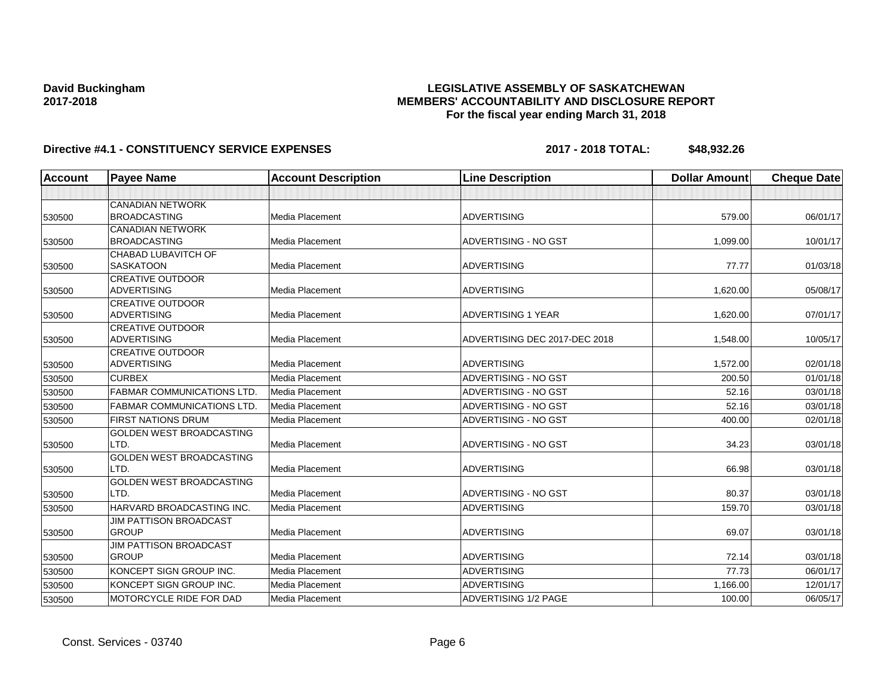## **LEGISLATIVE ASSEMBLY OF SASKATCHEWAN MEMBERS' ACCOUNTABILITY AND DISCLOSURE REPORT For the fiscal year ending March 31, 2018**

| <b>Account</b> | <b>Payee Name</b>                 | <b>Account Description</b> | <b>Line Description</b>       | <b>Dollar Amount</b> | <b>Cheque Date</b> |
|----------------|-----------------------------------|----------------------------|-------------------------------|----------------------|--------------------|
|                |                                   |                            |                               |                      |                    |
|                | <b>CANADIAN NETWORK</b>           |                            |                               |                      |                    |
| 530500         | <b>BROADCASTING</b>               | Media Placement            | <b>ADVERTISING</b>            | 579.00               | 06/01/17           |
|                | <b>CANADIAN NETWORK</b>           |                            |                               |                      |                    |
| 530500         | <b>BROADCASTING</b>               | Media Placement            | ADVERTISING - NO GST          | 1,099.00             | 10/01/17           |
|                | <b>CHABAD LUBAVITCH OF</b>        |                            |                               |                      |                    |
| 530500         | <b>SASKATOON</b>                  | Media Placement            | <b>ADVERTISING</b>            | 77.77                | 01/03/18           |
|                | <b>CREATIVE OUTDOOR</b>           |                            |                               |                      |                    |
| 530500         | <b>ADVERTISING</b>                | Media Placement            | <b>ADVERTISING</b>            | 1,620.00             | 05/08/17           |
|                | <b>CREATIVE OUTDOOR</b>           |                            |                               |                      |                    |
| 530500         | <b>ADVERTISING</b>                | Media Placement            | <b>ADVERTISING 1 YEAR</b>     | 1,620.00             | 07/01/17           |
|                | <b>CREATIVE OUTDOOR</b>           |                            |                               |                      |                    |
| 530500         | <b>ADVERTISING</b>                | Media Placement            | ADVERTISING DEC 2017-DEC 2018 | 1,548.00             | 10/05/17           |
|                | <b>CREATIVE OUTDOOR</b>           |                            |                               |                      |                    |
| 530500         | <b>ADVERTISING</b>                | Media Placement            | <b>ADVERTISING</b>            | 1,572.00             | 02/01/18           |
| 530500         | <b>CURBEX</b>                     | <b>Media Placement</b>     | ADVERTISING - NO GST          | 200.50               | 01/01/18           |
| 530500         | <b>FABMAR COMMUNICATIONS LTD.</b> | Media Placement            | ADVERTISING - NO GST          | 52.16                | 03/01/18           |
| 530500         | <b>FABMAR COMMUNICATIONS LTD.</b> | Media Placement            | ADVERTISING - NO GST          | 52.16                | 03/01/18           |
| 530500         | <b>FIRST NATIONS DRUM</b>         | <b>Media Placement</b>     | ADVERTISING - NO GST          | 400.00               | 02/01/18           |
|                | <b>GOLDEN WEST BROADCASTING</b>   |                            |                               |                      |                    |
| 530500         | LTD.                              | <b>Media Placement</b>     | ADVERTISING - NO GST          | 34.23                | 03/01/18           |
|                | <b>GOLDEN WEST BROADCASTING</b>   |                            |                               |                      |                    |
| 530500         | LTD.                              | <b>Media Placement</b>     | <b>ADVERTISING</b>            | 66.98                | 03/01/18           |
|                | <b>GOLDEN WEST BROADCASTING</b>   |                            |                               |                      |                    |
| 530500         | LTD.                              | <b>Media Placement</b>     | ADVERTISING - NO GST          | 80.37                | 03/01/18           |
| 530500         | HARVARD BROADCASTING INC.         | Media Placement            | <b>ADVERTISING</b>            | 159.70               | 03/01/18           |
|                | <b>JIM PATTISON BROADCAST</b>     |                            |                               |                      |                    |
| 530500         | <b>GROUP</b>                      | Media Placement            | <b>ADVERTISING</b>            | 69.07                | 03/01/18           |
|                | <b>JIM PATTISON BROADCAST</b>     |                            |                               |                      |                    |
| 530500         | <b>GROUP</b>                      | Media Placement            | <b>ADVERTISING</b>            | 72.14                | 03/01/18           |
| 530500         | KONCEPT SIGN GROUP INC.           | Media Placement            | <b>ADVERTISING</b>            | 77.73                | 06/01/17           |
| 530500         | KONCEPT SIGN GROUP INC.           | Media Placement            | <b>ADVERTISING</b>            | 1,166.00             | 12/01/17           |
| 530500         | <b>MOTORCYCLE RIDE FOR DAD</b>    | Media Placement            | ADVERTISING 1/2 PAGE          | 100.00               | 06/05/17           |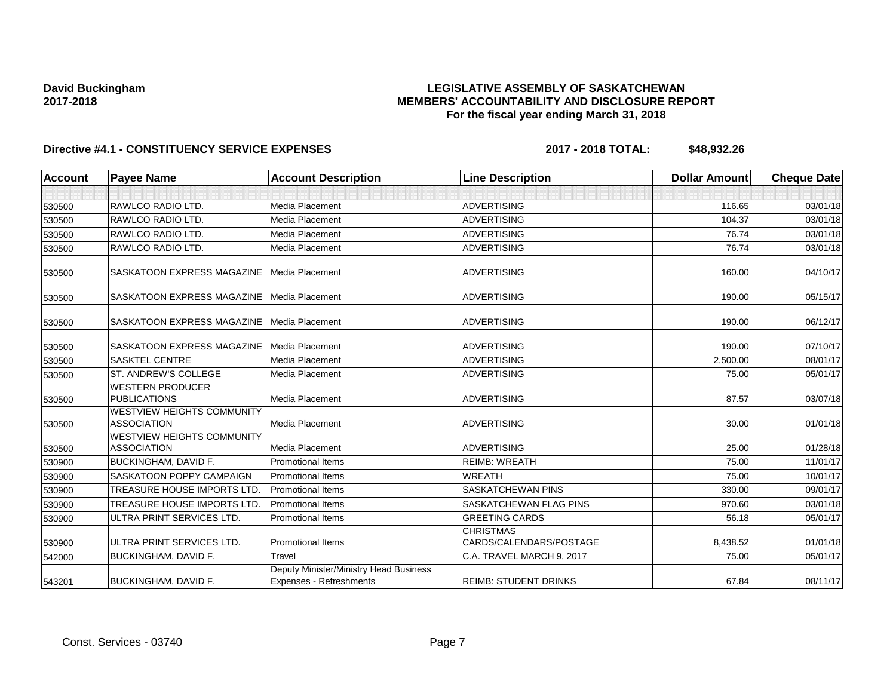## **LEGISLATIVE ASSEMBLY OF SASKATCHEWAN MEMBERS' ACCOUNTABILITY AND DISCLOSURE REPORT For the fiscal year ending March 31, 2018**

| <b>Account</b> | <b>Payee Name</b>                                       | <b>Account Description</b>                                        | <b>Line Description</b>                     | <b>Dollar Amount</b> | <b>Cheque Date</b> |
|----------------|---------------------------------------------------------|-------------------------------------------------------------------|---------------------------------------------|----------------------|--------------------|
|                |                                                         |                                                                   |                                             |                      |                    |
| 530500         | RAWLCO RADIO LTD.                                       | Media Placement                                                   | <b>ADVERTISING</b>                          | 116.65               | 03/01/18           |
| 530500         | RAWLCO RADIO LTD.                                       | Media Placement                                                   | <b>ADVERTISING</b>                          | 104.37               | 03/01/18           |
| 530500         | RAWLCO RADIO LTD.                                       | Media Placement                                                   | <b>ADVERTISING</b>                          | 76.74                | 03/01/18           |
| 530500         | RAWLCO RADIO LTD.                                       | Media Placement                                                   | <b>ADVERTISING</b>                          | 76.74                | 03/01/18           |
| 530500         | SASKATOON EXPRESS MAGAZINE                              | Media Placement                                                   | <b>ADVERTISING</b>                          | 160.00               | 04/10/17           |
| 530500         | SASKATOON EXPRESS MAGAZINE                              | Media Placement                                                   | <b>ADVERTISING</b>                          | 190.00               | 05/15/17           |
| 530500         | SASKATOON EXPRESS MAGAZINE                              | Media Placement                                                   | <b>ADVERTISING</b>                          | 190.00               | 06/12/17           |
| 530500         | <b>SASKATOON EXPRESS MAGAZINE</b>                       | Media Placement                                                   | <b>ADVERTISING</b>                          | 190.00               | 07/10/17           |
| 530500         | <b>SASKTEL CENTRE</b>                                   | Media Placement                                                   | <b>ADVERTISING</b>                          | 2,500.00             | 08/01/17           |
| 530500         | ST. ANDREW'S COLLEGE                                    | Media Placement                                                   | <b>ADVERTISING</b>                          | 75.00                | 05/01/17           |
| 530500         | <b>WESTERN PRODUCER</b><br><b>PUBLICATIONS</b>          | Media Placement                                                   | <b>ADVERTISING</b>                          | 87.57                | 03/07/18           |
| 530500         | <b>WESTVIEW HEIGHTS COMMUNITY</b><br><b>ASSOCIATION</b> | Media Placement                                                   | <b>ADVERTISING</b>                          | 30.00                | 01/01/18           |
| 530500         | <b>WESTVIEW HEIGHTS COMMUNITY</b><br><b>ASSOCIATION</b> | Media Placement                                                   | <b>ADVERTISING</b>                          | 25.00                | 01/28/18           |
| 530900         | <b>BUCKINGHAM, DAVID F.</b>                             | <b>Promotional Items</b>                                          | <b>REIMB: WREATH</b>                        | 75.00                | 11/01/17           |
| 530900         | SASKATOON POPPY CAMPAIGN                                | <b>Promotional Items</b>                                          | <b>WREATH</b>                               | 75.00                | 10/01/17           |
| 530900         | <b>TREASURE HOUSE IMPORTS LTD.</b>                      | <b>Promotional Items</b>                                          | <b>SASKATCHEWAN PINS</b>                    | 330.00               | 09/01/17           |
| 530900         | <b>TREASURE HOUSE IMPORTS LTD.</b>                      | <b>Promotional Items</b>                                          | SASKATCHEWAN FLAG PINS                      | 970.60               | 03/01/18           |
| 530900         | ULTRA PRINT SERVICES LTD.                               | <b>Promotional Items</b>                                          | <b>GREETING CARDS</b>                       | 56.18                | 05/01/17           |
| 530900         | ULTRA PRINT SERVICES LTD.                               | <b>Promotional Items</b>                                          | <b>CHRISTMAS</b><br>CARDS/CALENDARS/POSTAGE | 8,438.52             | 01/01/18           |
| 542000         | BUCKINGHAM, DAVID F.                                    | Travel                                                            | C.A. TRAVEL MARCH 9, 2017                   | 75.00                | 05/01/17           |
| 543201         | <b>BUCKINGHAM, DAVID F.</b>                             | Deputy Minister/Ministry Head Business<br>Expenses - Refreshments | <b>REIMB: STUDENT DRINKS</b>                | 67.84                | 08/11/17           |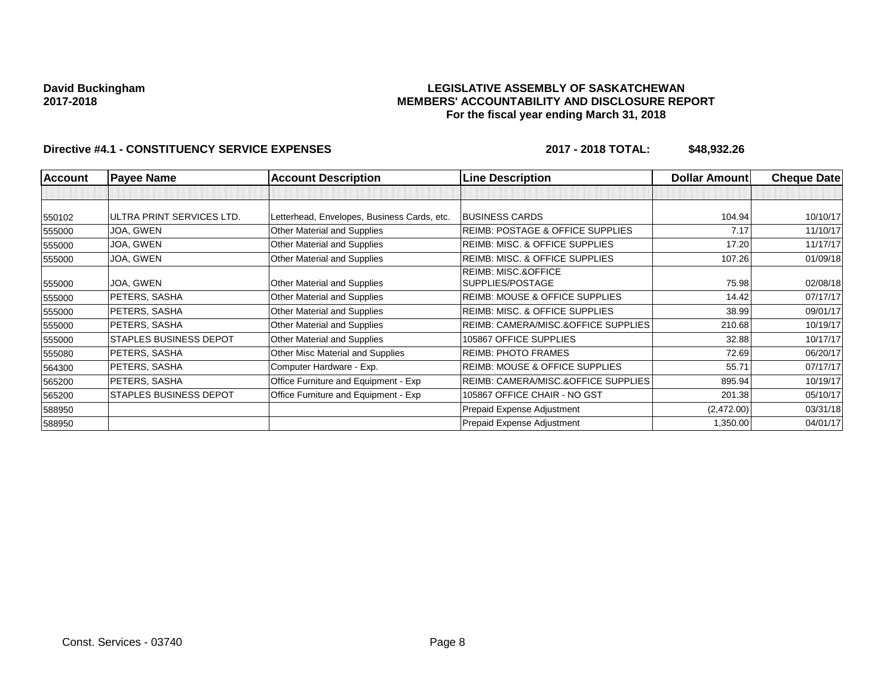## **LEGISLATIVE ASSEMBLY OF SASKATCHEWAN MEMBERS' ACCOUNTABILITY AND DISCLOSURE REPORT For the fiscal year ending March 31, 2018**

| <b>Account</b> | <b>Payee Name</b>             | <b>Account Description</b>                  | <b>Line Description</b>                     | <b>Dollar Amount</b> | <b>Cheque Date</b> |
|----------------|-------------------------------|---------------------------------------------|---------------------------------------------|----------------------|--------------------|
|                |                               |                                             |                                             |                      |                    |
| 550102         | ULTRA PRINT SERVICES LTD.     | Letterhead, Envelopes, Business Cards, etc. | <b>BUSINESS CARDS</b>                       | 104.94               | 10/10/17           |
| 555000         | JOA, GWEN                     | Other Material and Supplies                 | <b>REIMB: POSTAGE &amp; OFFICE SUPPLIES</b> | 7.17                 | 11/10/17           |
| 555000         | JOA, GWEN                     | Other Material and Supplies                 | REIMB: MISC. & OFFICE SUPPLIES              | 17.20                | 11/17/17           |
| 555000         | JOA, GWEN                     | Other Material and Supplies                 | <b>REIMB: MISC. &amp; OFFICE SUPPLIES</b>   | 107.26               | 01/09/18           |
|                |                               |                                             | <b>REIMB: MISC.&amp;OFFICE</b>              |                      |                    |
| 555000         | JOA, GWEN                     | Other Material and Supplies                 | SUPPLIES/POSTAGE                            | 75.98                | 02/08/18           |
| 555000         | PETERS, SASHA                 | Other Material and Supplies                 | <b>REIMB: MOUSE &amp; OFFICE SUPPLIES</b>   | 14.42                | 07/17/17           |
| 555000         | PETERS, SASHA                 | Other Material and Supplies                 | <b>REIMB: MISC. &amp; OFFICE SUPPLIES</b>   | 38.99                | 09/01/17           |
| 555000         | PETERS, SASHA                 | Other Material and Supplies                 | REIMB: CAMERA/MISC.&OFFICE SUPPLIES         | 210.68               | 10/19/17           |
| 555000         | <b>STAPLES BUSINESS DEPOT</b> | Other Material and Supplies                 | 105867 OFFICE SUPPLIES                      | 32.88                | 10/17/17           |
| 555080         | PETERS, SASHA                 | Other Misc Material and Supplies            | <b>REIMB: PHOTO FRAMES</b>                  | 72.69                | 06/20/17           |
| 564300         | PETERS, SASHA                 | Computer Hardware - Exp.                    | <b>REIMB: MOUSE &amp; OFFICE SUPPLIES</b>   | 55.71                | 07/17/17           |
| 565200         | PETERS, SASHA                 | Office Furniture and Equipment - Exp        | REIMB: CAMERA/MISC.&OFFICE SUPPLIES         | 895.94               | 10/19/17           |
| 565200         | <b>STAPLES BUSINESS DEPOT</b> | Office Furniture and Equipment - Exp        | 105867 OFFICE CHAIR - NO GST                | 201.38               | 05/10/17           |
| 588950         |                               |                                             | Prepaid Expense Adjustment                  | (2,472.00)           | 03/31/18           |
| 588950         |                               |                                             | Prepaid Expense Adjustment                  | 1,350.00             | 04/01/17           |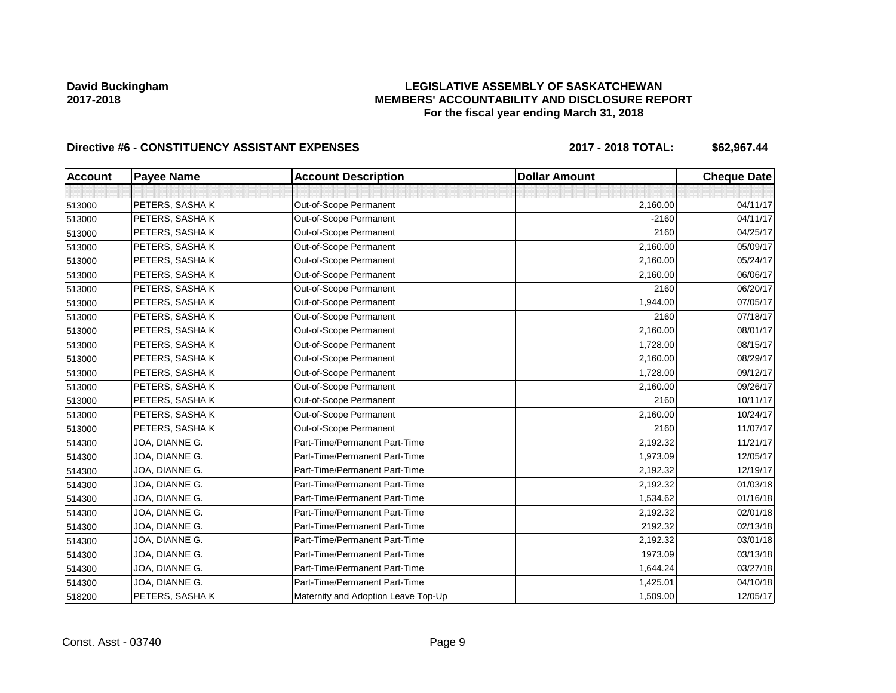## **LEGISLATIVE ASSEMBLY OF SASKATCHEWAN MEMBERS' ACCOUNTABILITY AND DISCLOSURE REPORT For the fiscal year ending March 31, 2018**

# Directive #6 - CONSTITUENCY ASSISTANT EXPENSES 2017 - 2018 TOTAL: \$62,967.44

| <b>Account</b> | <b>Payee Name</b> | <b>Account Description</b>          | <b>Dollar Amount</b> | <b>Cheque Date</b> |
|----------------|-------------------|-------------------------------------|----------------------|--------------------|
|                |                   |                                     |                      |                    |
| 513000         | PETERS, SASHAK    | Out-of-Scope Permanent              | 2,160.00             | 04/11/17           |
| 513000         | PETERS, SASHAK    | Out-of-Scope Permanent              | $-2160$              | 04/11/17           |
| 513000         | PETERS, SASHAK    | Out-of-Scope Permanent              | 2160                 | 04/25/17           |
| 513000         | PETERS, SASHAK    | Out-of-Scope Permanent              | 2,160.00             | 05/09/17           |
| 513000         | PETERS, SASHAK    | Out-of-Scope Permanent              | 2,160.00             | 05/24/17           |
| 513000         | PETERS, SASHAK    | Out-of-Scope Permanent              | 2,160.00             | 06/06/17           |
| 513000         | PETERS, SASHAK    | Out-of-Scope Permanent              | 2160                 | 06/20/17           |
| 513000         | PETERS, SASHAK    | Out-of-Scope Permanent              | 1,944.00             | 07/05/17           |
| 513000         | PETERS, SASHAK    | Out-of-Scope Permanent              | 2160                 | 07/18/17           |
| 513000         | PETERS, SASHAK    | Out-of-Scope Permanent              | 2,160.00             | 08/01/17           |
| 513000         | PETERS, SASHAK    | Out-of-Scope Permanent              | 1,728.00             | 08/15/17           |
| 513000         | PETERS, SASHAK    | Out-of-Scope Permanent              | 2,160.00             | 08/29/17           |
| 513000         | PETERS, SASHAK    | Out-of-Scope Permanent              | 1,728.00             | 09/12/17           |
| 513000         | PETERS, SASHAK    | Out-of-Scope Permanent              | 2,160.00             | 09/26/17           |
| 513000         | PETERS, SASHAK    | Out-of-Scope Permanent              | 2160                 | 10/11/17           |
| 513000         | PETERS, SASHAK    | Out-of-Scope Permanent              | 2,160.00             | 10/24/17           |
| 513000         | PETERS, SASHAK    | Out-of-Scope Permanent              | 2160                 | 11/07/17           |
| 514300         | JOA, DIANNE G.    | Part-Time/Permanent Part-Time       | 2,192.32             | 11/21/17           |
| 514300         | JOA, DIANNE G.    | Part-Time/Permanent Part-Time       | 1,973.09             | 12/05/17           |
| 514300         | JOA, DIANNE G.    | Part-Time/Permanent Part-Time       | 2,192.32             | 12/19/17           |
| 514300         | JOA, DIANNE G.    | Part-Time/Permanent Part-Time       | 2,192.32             | 01/03/18           |
| 514300         | JOA, DIANNE G.    | Part-Time/Permanent Part-Time       | 1,534.62             | 01/16/18           |
| 514300         | JOA, DIANNE G.    | Part-Time/Permanent Part-Time       | 2,192.32             | 02/01/18           |
| 514300         | JOA, DIANNE G.    | Part-Time/Permanent Part-Time       | 2192.32              | 02/13/18           |
| 514300         | JOA, DIANNE G.    | Part-Time/Permanent Part-Time       | 2,192.32             | 03/01/18           |
| 514300         | JOA, DIANNE G.    | Part-Time/Permanent Part-Time       | 1973.09              | 03/13/18           |
| 514300         | JOA, DIANNE G.    | Part-Time/Permanent Part-Time       | 1,644.24             | 03/27/18           |
| 514300         | JOA, DIANNE G.    | Part-Time/Permanent Part-Time       | 1,425.01             | 04/10/18           |
| 518200         | PETERS, SASHAK    | Maternity and Adoption Leave Top-Up | 1,509.00             | 12/05/17           |